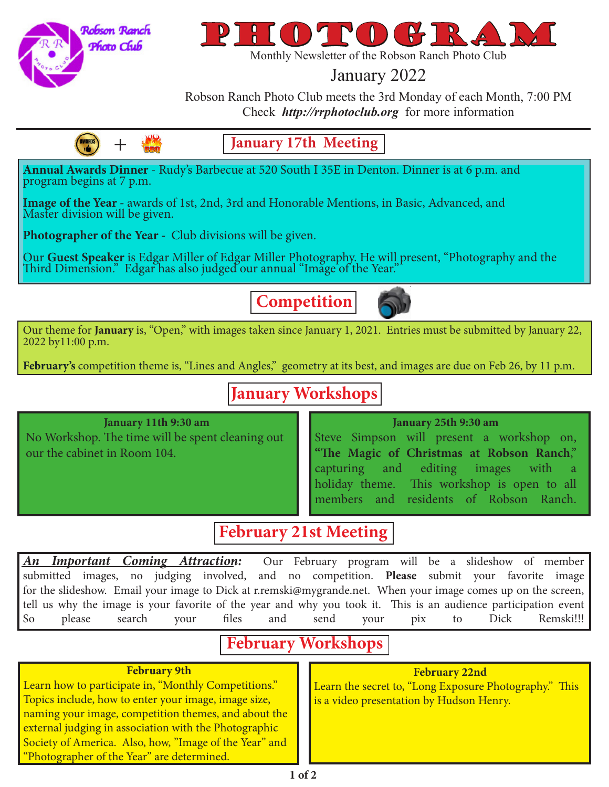

**AWARDS** 

+



Monthly Newsletter of the Robson Ranch Photo Club

## January 2022

Robson Ranch Photo Club meets the 3rd Monday of each Month, 7:00 PM Check *http://rrphotoclub.org* for more information

**January 17th Meeting**

**Annual Awards Dinner** - Rudy's Barbecue at 520 South I 35E in Denton. Dinner is at 6 p.m. and program begins at 7 p.m.

**Image of the Year -** awards of 1st, 2nd, 3rd and Honorable Mentions, in Basic, Advanced, and Master division will be given.

**Photographer of the Year -** Club divisions will be given.

Our Guest Speaker is Edgar Miller of Edgar Miller Photography. He will present, "Photography and the<br>Third Dimension." Edgar has also judged our annual "Image of the Year."

**Competition**



Our theme for **January** is, "Open," with images taken since January 1, 2021. Entries must be submitted by January 22, 2022 by11:00 p.m.

February's competition theme is, "Lines and Angles," geometry at its best, and images are due on Feb 26, by 11 p.m.

# **January Workshops**

### **January 11th 9:30 am**

No Workshop. The time will be spent cleaning out our the cabinet in Room 104.

### **January 25th 9:30 am**

Steve Simpson will present a workshop on, **"The Magic of Christmas at Robson Ranch**," capturing and editing images with a holiday theme. This workshop is open to all members and residents of Robson Ranch.

## **February 21st Meeting**

*An Important Coming Attraction:* Our February program will be a slideshow of member submitted images, no judging involved, and no competition. **Please** submit your favorite image for the slideshow. Email your image to Dick at r.remski@mygrande.net. When your image comes up on the screen, tell us why the image is your favorite of the year and why you took it. This is an audience participation event So please search your files and send your pix to Dick Remski!!!

# **February Workshops**

### **February 9th**

Learn how to participate in, "Monthly Competitions." Topics include, how to enter your image, image size, naming your image, competition themes, and about the external judging in association with the Photographic Society of America. Also, how, "Image of the Year" and "Photographer of the Year" are determined.

#### **February 22nd**

Learn the secret to, "Long Exposure Photography." This is a video presentation by Hudson Henry.